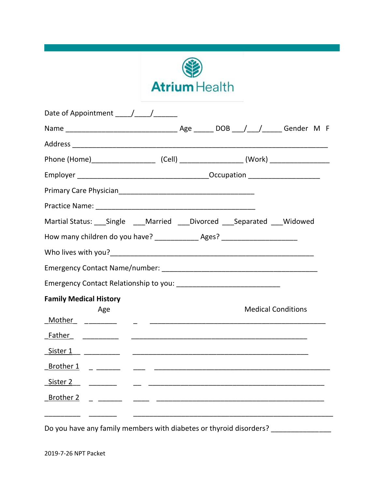

| Date of Appointment ////      |                                                                                   |
|-------------------------------|-----------------------------------------------------------------------------------|
|                               |                                                                                   |
|                               |                                                                                   |
|                               |                                                                                   |
|                               |                                                                                   |
|                               |                                                                                   |
|                               |                                                                                   |
|                               | Martial Status: ___ Single ____ Married ____ Divorced ____ Separated ____ Widowed |
|                               | How many children do you have? _______________ Ages? ___________________________  |
|                               |                                                                                   |
|                               |                                                                                   |
|                               |                                                                                   |
| <b>Family Medical History</b> |                                                                                   |
| Age                           | <b>Medical Conditions</b>                                                         |
|                               |                                                                                   |
| <u>Sister 1 ___________</u>   |                                                                                   |
|                               |                                                                                   |
|                               |                                                                                   |
|                               |                                                                                   |
|                               |                                                                                   |
|                               |                                                                                   |

Do you have any family members with diabetes or thyroid disorders? \_\_\_\_\_\_\_\_\_\_\_\_\_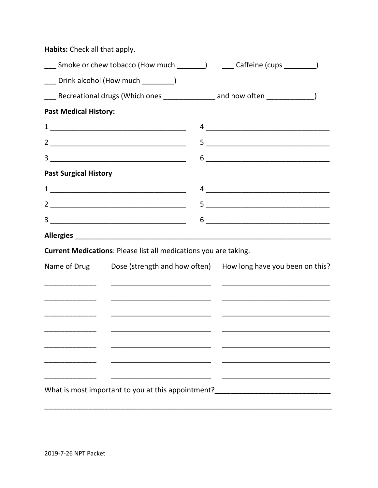| Habits: Check all that apply. |                                                                  |                                                                                                                                                                                                                                                                                                                                                                     |  |
|-------------------------------|------------------------------------------------------------------|---------------------------------------------------------------------------------------------------------------------------------------------------------------------------------------------------------------------------------------------------------------------------------------------------------------------------------------------------------------------|--|
|                               |                                                                  | ____ Smoke or chew tobacco (How much ________)    ____ Caffeine (cups _________)                                                                                                                                                                                                                                                                                    |  |
|                               | ___ Drink alcohol (How much ________)                            |                                                                                                                                                                                                                                                                                                                                                                     |  |
|                               |                                                                  | ___ Recreational drugs (Which ones _____________ and how often _____________)                                                                                                                                                                                                                                                                                       |  |
| <b>Past Medical History:</b>  |                                                                  |                                                                                                                                                                                                                                                                                                                                                                     |  |
|                               |                                                                  | $\frac{4}{\sqrt{2}}$                                                                                                                                                                                                                                                                                                                                                |  |
|                               |                                                                  |                                                                                                                                                                                                                                                                                                                                                                     |  |
|                               |                                                                  | $\begin{picture}(20,10) \put(0,0){\vector(1,0){100}} \put(15,0){\vector(1,0){100}} \put(15,0){\vector(1,0){100}} \put(15,0){\vector(1,0){100}} \put(15,0){\vector(1,0){100}} \put(15,0){\vector(1,0){100}} \put(15,0){\vector(1,0){100}} \put(15,0){\vector(1,0){100}} \put(15,0){\vector(1,0){100}} \put(15,0){\vector(1,0){100}} \put(15,0){\vector(1,0){100}} \$ |  |
| <b>Past Surgical History</b>  |                                                                  |                                                                                                                                                                                                                                                                                                                                                                     |  |
|                               |                                                                  |                                                                                                                                                                                                                                                                                                                                                                     |  |
|                               |                                                                  |                                                                                                                                                                                                                                                                                                                                                                     |  |
|                               |                                                                  |                                                                                                                                                                                                                                                                                                                                                                     |  |
|                               |                                                                  |                                                                                                                                                                                                                                                                                                                                                                     |  |
|                               | Current Medications: Please list all medications you are taking. |                                                                                                                                                                                                                                                                                                                                                                     |  |
|                               |                                                                  | Name of Drug Dose (strength and how often) How long have you been on this?                                                                                                                                                                                                                                                                                          |  |
|                               |                                                                  |                                                                                                                                                                                                                                                                                                                                                                     |  |
|                               |                                                                  |                                                                                                                                                                                                                                                                                                                                                                     |  |
|                               |                                                                  |                                                                                                                                                                                                                                                                                                                                                                     |  |
|                               |                                                                  |                                                                                                                                                                                                                                                                                                                                                                     |  |
|                               |                                                                  |                                                                                                                                                                                                                                                                                                                                                                     |  |
|                               |                                                                  |                                                                                                                                                                                                                                                                                                                                                                     |  |
|                               |                                                                  |                                                                                                                                                                                                                                                                                                                                                                     |  |
|                               | What is most important to you at this appointment?               | <u> 1980 - Johann Barbara, martin amerikan basar da</u>                                                                                                                                                                                                                                                                                                             |  |
|                               |                                                                  |                                                                                                                                                                                                                                                                                                                                                                     |  |